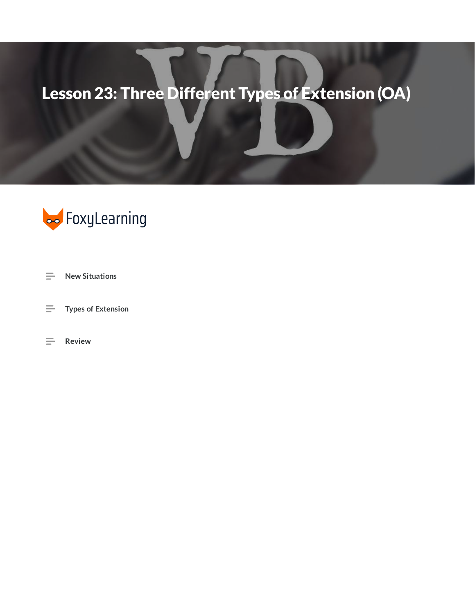## Lesson 23: Three Different Types of Extension (OA)



- $\equiv$ **New Situations**
- $\equiv$ **Types of Extension**
- $\equiv$  Review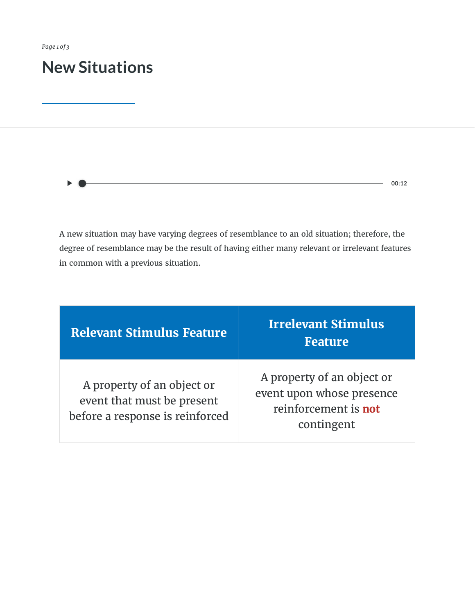*Page 1 of 3*

## **New Situations**

 $-$  00:12

A new situation may have varying degrees of resemblance to an old situation; therefore, the degree of resemblance may be the result of having either many relevant or irrelevant features in common with a previous situation.

| <b>Relevant Stimulus Feature</b>                                                            | <b>Irrelevant Stimulus</b><br><b>Feature</b>                                                  |
|---------------------------------------------------------------------------------------------|-----------------------------------------------------------------------------------------------|
| A property of an object or<br>event that must be present<br>before a response is reinforced | A property of an object or<br>event upon whose presence<br>reinforcement is not<br>contingent |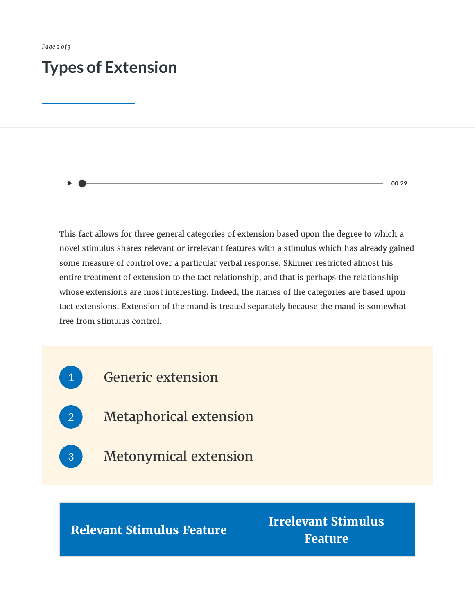## **Types of Extension**

**00:29**

This fact allows for three general categories of extension based upon the degree to which a novel stimulus shares relevant or irrelevant features with a stimulus which has already gained some measure of control over a particular verbal response. Skinner restricted almost his entire treatment of extension to the tact relationship, and that is perhaps the relationship whose extensions are most interesting. Indeed, the names of the categories are based upon tact extensions. Extension of the mand is treated separately because the mand is somewhat free from stimulus control.



**Relevant Stimulus Feature**

**Irrelevant Stimulus Feature**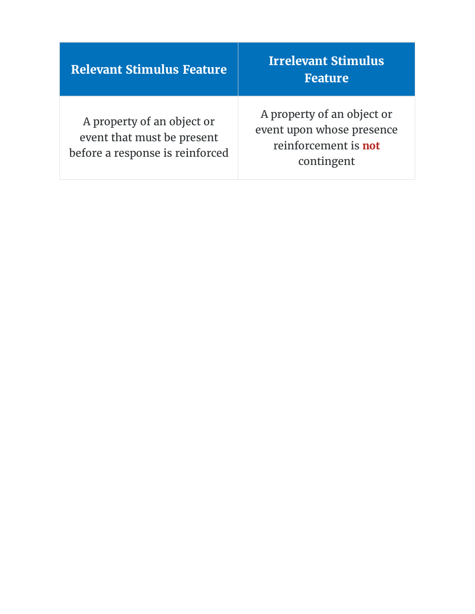| <b>Relevant Stimulus Feature</b>                                                            | <b>Irrelevant Stimulus</b><br><b>Feature</b>                                                  |
|---------------------------------------------------------------------------------------------|-----------------------------------------------------------------------------------------------|
| A property of an object or<br>event that must be present<br>before a response is reinforced | A property of an object or<br>event upon whose presence<br>reinforcement is not<br>contingent |